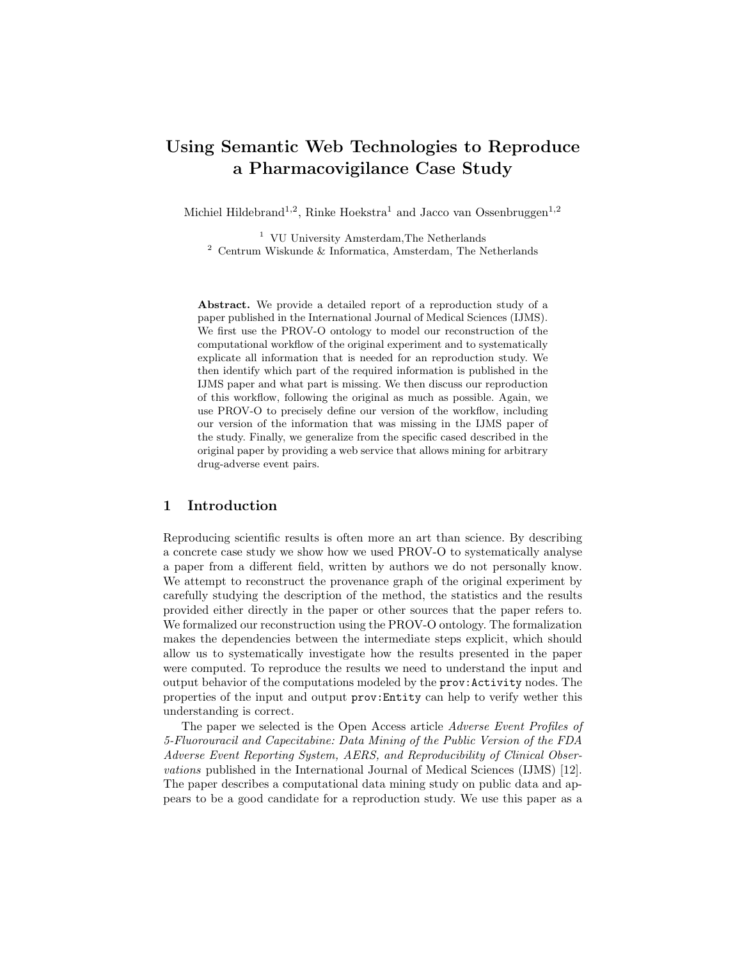# Using Semantic Web Technologies to Reproduce a Pharmacovigilance Case Study

Michiel Hildebrand<sup>1,2</sup>, Rinke Hoekstra<sup>1</sup> and Jacco van Ossenbruggen<sup>1,2</sup>

<sup>1</sup> VU University Amsterdam,The Netherlands  $2$  Centrum Wiskunde & Informatica, Amsterdam, The Netherlands

Abstract. We provide a detailed report of a reproduction study of a paper published in the International Journal of Medical Sciences (IJMS). We first use the PROV-O ontology to model our reconstruction of the computational workflow of the original experiment and to systematically explicate all information that is needed for an reproduction study. We then identify which part of the required information is published in the IJMS paper and what part is missing. We then discuss our reproduction of this workflow, following the original as much as possible. Again, we use PROV-O to precisely define our version of the workflow, including our version of the information that was missing in the IJMS paper of the study. Finally, we generalize from the specific cased described in the original paper by providing a web service that allows mining for arbitrary drug-adverse event pairs.

## 1 Introduction

Reproducing scientific results is often more an art than science. By describing a concrete case study we show how we used PROV-O to systematically analyse a paper from a different field, written by authors we do not personally know. We attempt to reconstruct the provenance graph of the original experiment by carefully studying the description of the method, the statistics and the results provided either directly in the paper or other sources that the paper refers to. We formalized our reconstruction using the PROV-O ontology. The formalization makes the dependencies between the intermediate steps explicit, which should allow us to systematically investigate how the results presented in the paper were computed. To reproduce the results we need to understand the input and output behavior of the computations modeled by the prov:Activity nodes. The properties of the input and output prov:Entity can help to verify wether this understanding is correct.

The paper we selected is the Open Access article Adverse Event Profiles of 5-Fluorouracil and Capecitabine: Data Mining of the Public Version of the FDA Adverse Event Reporting System, AERS, and Reproducibility of Clinical Observations published in the International Journal of Medical Sciences (IJMS) [12]. The paper describes a computational data mining study on public data and appears to be a good candidate for a reproduction study. We use this paper as a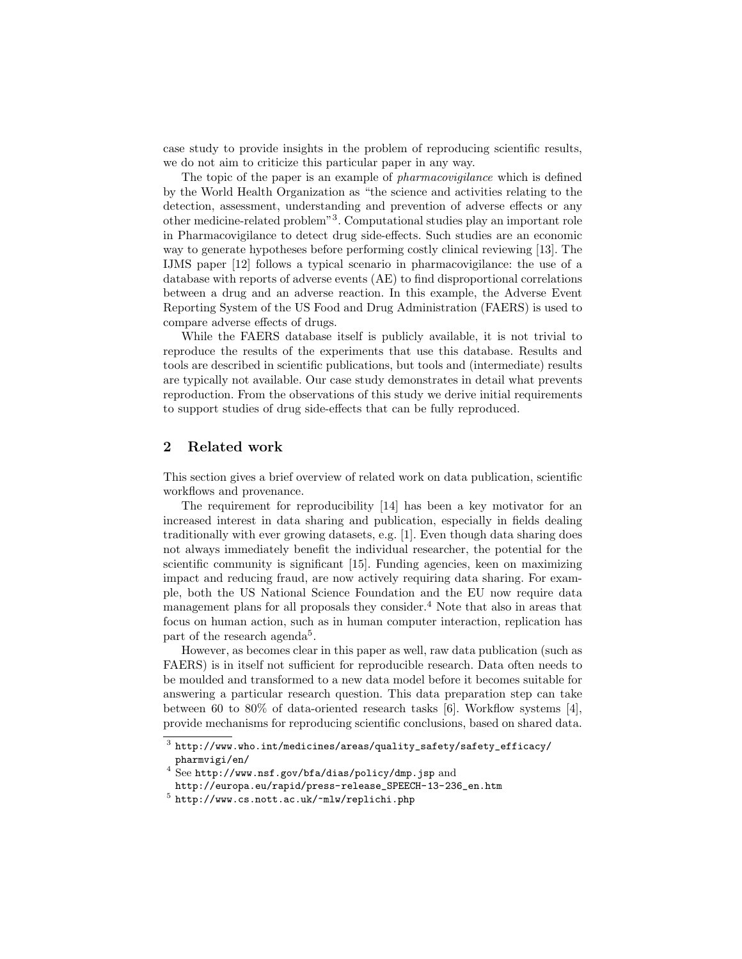case study to provide insights in the problem of reproducing scientific results, we do not aim to criticize this particular paper in any way.

The topic of the paper is an example of *pharmacovigilance* which is defined by the World Health Organization as "the science and activities relating to the detection, assessment, understanding and prevention of adverse effects or any other medicine-related problem"<sup>3</sup> . Computational studies play an important role in Pharmacovigilance to detect drug side-effects. Such studies are an economic way to generate hypotheses before performing costly clinical reviewing [13]. The IJMS paper [12] follows a typical scenario in pharmacovigilance: the use of a database with reports of adverse events (AE) to find disproportional correlations between a drug and an adverse reaction. In this example, the Adverse Event Reporting System of the US Food and Drug Administration (FAERS) is used to compare adverse effects of drugs.

While the FAERS database itself is publicly available, it is not trivial to reproduce the results of the experiments that use this database. Results and tools are described in scientific publications, but tools and (intermediate) results are typically not available. Our case study demonstrates in detail what prevents reproduction. From the observations of this study we derive initial requirements to support studies of drug side-effects that can be fully reproduced.

# 2 Related work

This section gives a brief overview of related work on data publication, scientific workflows and provenance.

The requirement for reproducibility [14] has been a key motivator for an increased interest in data sharing and publication, especially in fields dealing traditionally with ever growing datasets, e.g. [1]. Even though data sharing does not always immediately benefit the individual researcher, the potential for the scientific community is significant [15]. Funding agencies, keen on maximizing impact and reducing fraud, are now actively requiring data sharing. For example, both the US National Science Foundation and the EU now require data management plans for all proposals they consider.<sup>4</sup> Note that also in areas that focus on human action, such as in human computer interaction, replication has part of the research agenda<sup>5</sup>.

However, as becomes clear in this paper as well, raw data publication (such as FAERS) is in itself not sufficient for reproducible research. Data often needs to be moulded and transformed to a new data model before it becomes suitable for answering a particular research question. This data preparation step can take between 60 to 80% of data-oriented research tasks [6]. Workflow systems [4], provide mechanisms for reproducing scientific conclusions, based on shared data.

 $^3$  http://www.who.int/medicines/areas/quality\_safety/safety\_efficacy/ pharmvigi/en/

<sup>4</sup> See http://www.nsf.gov/bfa/dias/policy/dmp.jsp and

http://europa.eu/rapid/press-release\_SPEECH-13-236\_en.htm

 $^5$  http://www.cs.nott.ac.uk/~mlw/replichi.php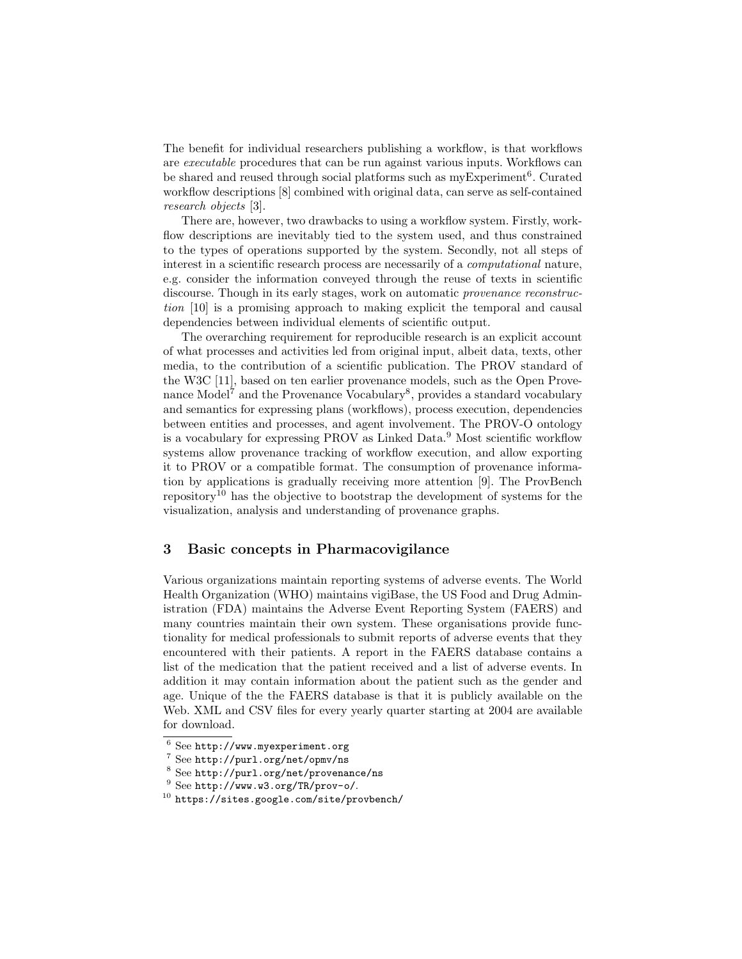The benefit for individual researchers publishing a workflow, is that workflows are executable procedures that can be run against various inputs. Workflows can be shared and reused through social platforms such as myExperiment<sup>6</sup>. Curated workflow descriptions [8] combined with original data, can serve as self-contained research objects [3].

There are, however, two drawbacks to using a workflow system. Firstly, workflow descriptions are inevitably tied to the system used, and thus constrained to the types of operations supported by the system. Secondly, not all steps of interest in a scientific research process are necessarily of a computational nature, e.g. consider the information conveyed through the reuse of texts in scientific discourse. Though in its early stages, work on automatic *provenance reconstruc*tion [10] is a promising approach to making explicit the temporal and causal dependencies between individual elements of scientific output.

The overarching requirement for reproducible research is an explicit account of what processes and activities led from original input, albeit data, texts, other media, to the contribution of a scientific publication. The PROV standard of the W3C [11], based on ten earlier provenance models, such as the Open Provenance Model<sup>7</sup> and the Provenance Vocabulary<sup>8</sup>, provides a standard vocabulary and semantics for expressing plans (workflows), process execution, dependencies between entities and processes, and agent involvement. The PROV-O ontology is a vocabulary for expressing PROV as Linked Data.<sup>9</sup> Most scientific workflow systems allow provenance tracking of workflow execution, and allow exporting it to PROV or a compatible format. The consumption of provenance information by applications is gradually receiving more attention [9]. The ProvBench repository<sup>10</sup> has the objective to bootstrap the development of systems for the visualization, analysis and understanding of provenance graphs.

## 3 Basic concepts in Pharmacovigilance

Various organizations maintain reporting systems of adverse events. The World Health Organization (WHO) maintains vigiBase, the US Food and Drug Administration (FDA) maintains the Adverse Event Reporting System (FAERS) and many countries maintain their own system. These organisations provide functionality for medical professionals to submit reports of adverse events that they encountered with their patients. A report in the FAERS database contains a list of the medication that the patient received and a list of adverse events. In addition it may contain information about the patient such as the gender and age. Unique of the the FAERS database is that it is publicly available on the Web. XML and CSV files for every yearly quarter starting at 2004 are available for download.

<sup>6</sup> See http://www.myexperiment.org

<sup>7</sup> See http://purl.org/net/opmv/ns

<sup>8</sup> See http://purl.org/net/provenance/ns

<sup>9</sup> See http://www.w3.org/TR/prov-o/.

<sup>10</sup> https://sites.google.com/site/provbench/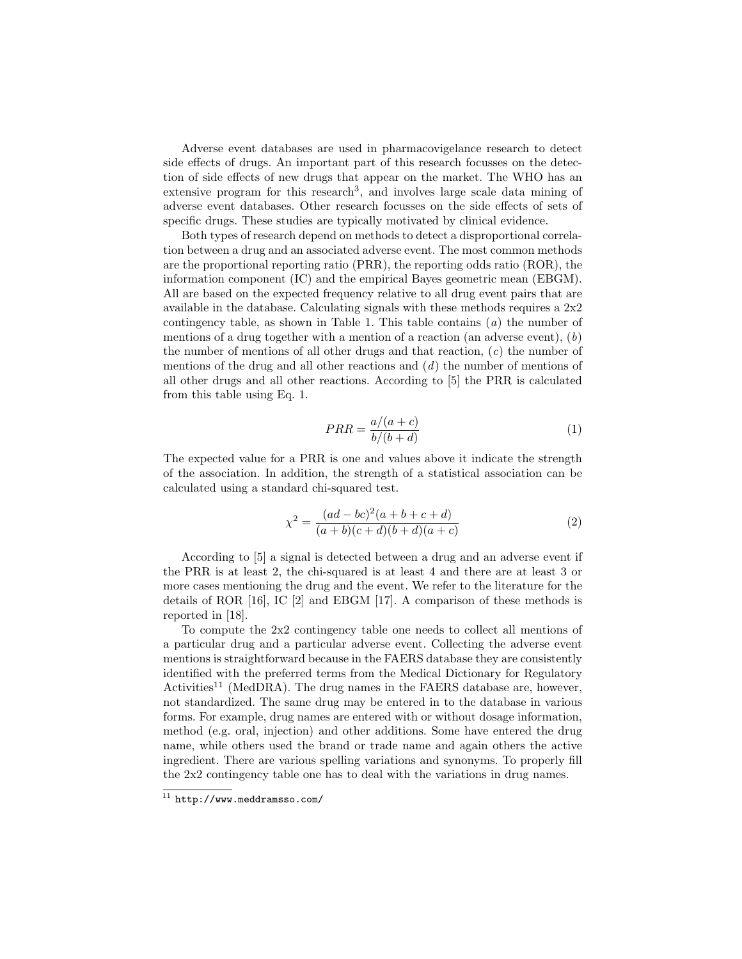Adverse event databases are used in pharmacovigelance research to detect side effects of drugs. An important part of this research focusses on the detection of side effects of new drugs that appear on the market. The WHO has an extensive program for this research<sup>3</sup>, and involves large scale data mining of adverse event databases. Other research focusses on the side effects of sets of specific drugs. These studies are typically motivated by clinical evidence.

Both types of research depend on methods to detect a disproportional correlation between a drug and an associated adverse event. The most common methods are the proportional reporting ratio (PRR), the reporting odds ratio (ROR), the information component (IC) and the empirical Bayes geometric mean (EBGM). All are based on the expected frequency relative to all drug event pairs that are available in the database. Calculating signals with these methods requires a 2x2 contingency table, as shown in Table 1. This table contains  $(a)$  the number of mentions of a drug together with a mention of a reaction (an adverse event),  $(b)$ the number of mentions of all other drugs and that reaction,  $(c)$  the number of mentions of the drug and all other reactions and  $(d)$  the number of mentions of all other drugs and all other reactions. According to [5] the PRR is calculated from this table using Eq. 1.

$$
PRR = \frac{a/(a+c)}{b/(b+d)}
$$
 (1)

The expected value for a PRR is one and values above it indicate the strength of the association. In addition, the strength of a statistical association can be calculated using a standard chi-squared test.

$$
\chi^2 = \frac{(ad - bc)^2(a + b + c + d)}{(a + b)(c + d)(b + d)(a + c)}
$$
(2)

According to [5] a signal is detected between a drug and an adverse event if the PRR is at least 2, the chi-squared is at least 4 and there are at least 3 or more cases mentioning the drug and the event. We refer to the literature for the details of ROR [16], IC [2] and EBGM [17]. A comparison of these methods is reported in [18].

To compute the 2x2 contingency table one needs to collect all mentions of a particular drug and a particular adverse event. Collecting the adverse event mentions is straightforward because in the FAERS database they are consistently identified with the preferred terms from the Medical Dictionary for Regulatory Activities<sup>11</sup> (MedDRA). The drug names in the FAERS database are, however, not standardized. The same drug may be entered in to the database in various forms. For example, drug names are entered with or without dosage information, method (e.g. oral, injection) and other additions. Some have entered the drug name, while others used the brand or trade name and again others the active ingredient. There are various spelling variations and synonyms. To properly fill the 2x2 contingency table one has to deal with the variations in drug names.

 $\overline{11}$  http://www.meddramsso.com/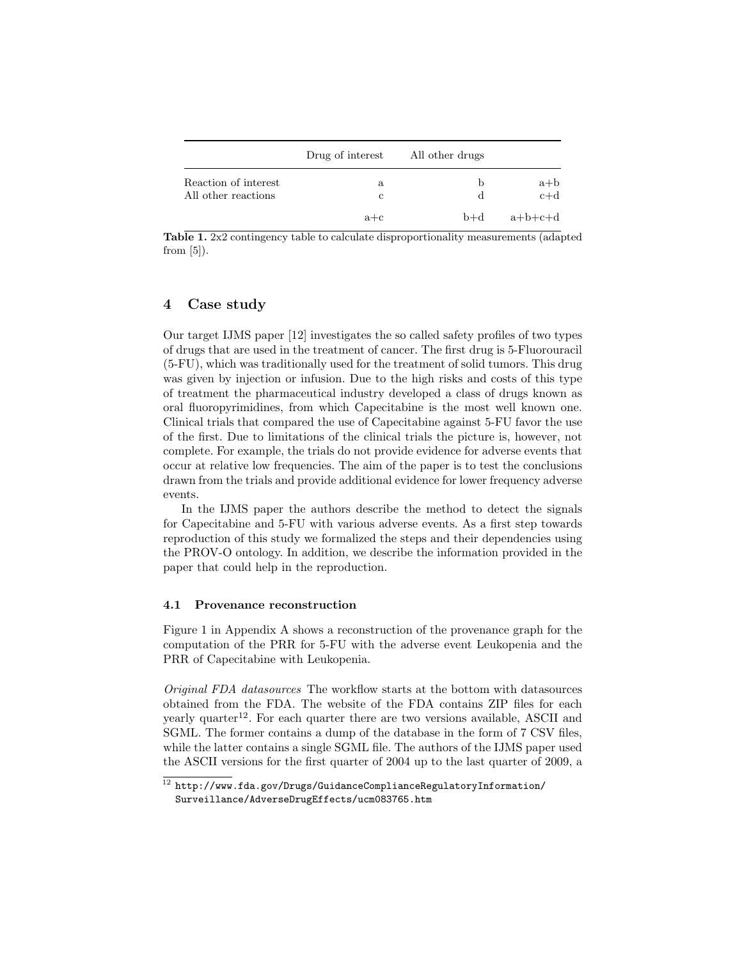|                                             | Drug of interest | All other drugs |                |
|---------------------------------------------|------------------|-----------------|----------------|
| Reaction of interest<br>All other reactions | a<br>с           | b<br>d          | $a+b$<br>$c+d$ |
|                                             | $a + c$          | $p+q$           | $a+b+c+d$      |

Table 1. 2x2 contingency table to calculate disproportionality measurements (adapted from  $[5]$ ).

# 4 Case study

Our target IJMS paper [12] investigates the so called safety profiles of two types of drugs that are used in the treatment of cancer. The first drug is 5-Fluorouracil (5-FU), which was traditionally used for the treatment of solid tumors. This drug was given by injection or infusion. Due to the high risks and costs of this type of treatment the pharmaceutical industry developed a class of drugs known as oral fluoropyrimidines, from which Capecitabine is the most well known one. Clinical trials that compared the use of Capecitabine against 5-FU favor the use of the first. Due to limitations of the clinical trials the picture is, however, not complete. For example, the trials do not provide evidence for adverse events that occur at relative low frequencies. The aim of the paper is to test the conclusions drawn from the trials and provide additional evidence for lower frequency adverse events.

In the IJMS paper the authors describe the method to detect the signals for Capecitabine and 5-FU with various adverse events. As a first step towards reproduction of this study we formalized the steps and their dependencies using the PROV-O ontology. In addition, we describe the information provided in the paper that could help in the reproduction.

#### 4.1 Provenance reconstruction

Figure 1 in Appendix A shows a reconstruction of the provenance graph for the computation of the PRR for 5-FU with the adverse event Leukopenia and the PRR of Capecitabine with Leukopenia.

Original FDA datasources The workflow starts at the bottom with datasources obtained from the FDA. The website of the FDA contains ZIP files for each yearly quarter<sup>12</sup>. For each quarter there are two versions available, ASCII and SGML. The former contains a dump of the database in the form of 7 CSV files, while the latter contains a single SGML file. The authors of the IJMS paper used the ASCII versions for the first quarter of 2004 up to the last quarter of 2009, a

 $^{12}$ http://www.fda.gov/Drugs/GuidanceComplianceRegulatoryInformation/ Surveillance/AdverseDrugEffects/ucm083765.htm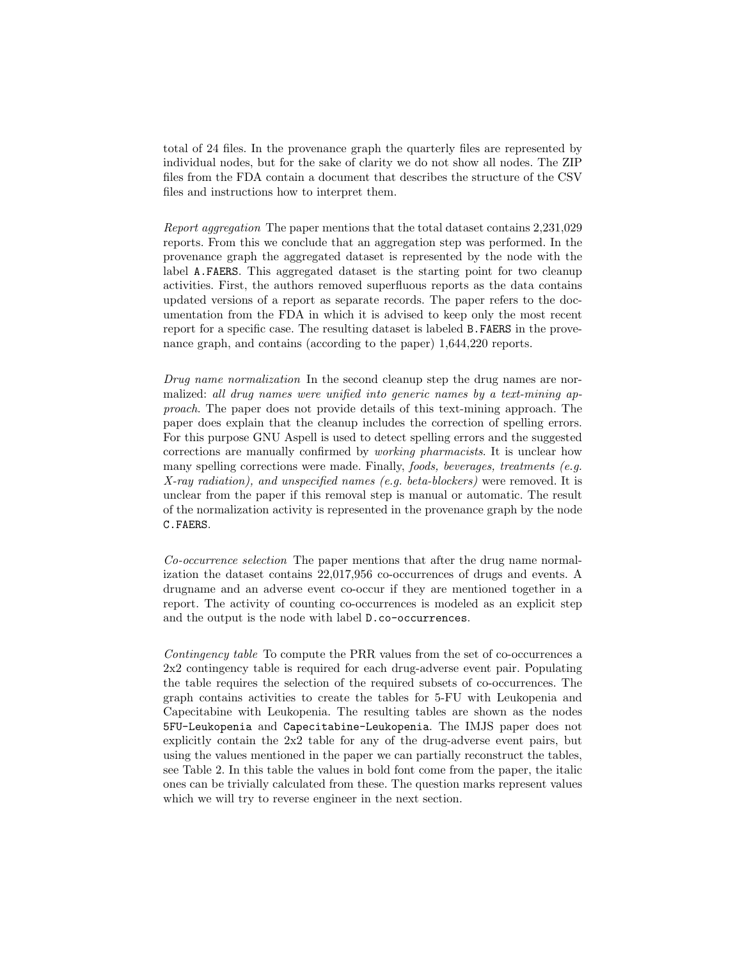total of 24 files. In the provenance graph the quarterly files are represented by individual nodes, but for the sake of clarity we do not show all nodes. The ZIP files from the FDA contain a document that describes the structure of the CSV files and instructions how to interpret them.

Report aggregation The paper mentions that the total dataset contains 2,231,029 reports. From this we conclude that an aggregation step was performed. In the provenance graph the aggregated dataset is represented by the node with the label A.FAERS. This aggregated dataset is the starting point for two cleanup activities. First, the authors removed superfluous reports as the data contains updated versions of a report as separate records. The paper refers to the documentation from the FDA in which it is advised to keep only the most recent report for a specific case. The resulting dataset is labeled B.FAERS in the provenance graph, and contains (according to the paper) 1,644,220 reports.

Drug name normalization In the second cleanup step the drug names are normalized: all drug names were unified into generic names by a text-mining approach. The paper does not provide details of this text-mining approach. The paper does explain that the cleanup includes the correction of spelling errors. For this purpose GNU Aspell is used to detect spelling errors and the suggested corrections are manually confirmed by working pharmacists. It is unclear how many spelling corrections were made. Finally, *foods, beverages, treatments (e.g.*) X-ray radiation), and unspecified names (e.g. beta-blockers) were removed. It is unclear from the paper if this removal step is manual or automatic. The result of the normalization activity is represented in the provenance graph by the node C.FAERS.

Co-occurrence selection The paper mentions that after the drug name normalization the dataset contains 22,017,956 co-occurrences of drugs and events. A drugname and an adverse event co-occur if they are mentioned together in a report. The activity of counting co-occurrences is modeled as an explicit step and the output is the node with label D.co-occurrences.

Contingency table To compute the PRR values from the set of co-occurrences a 2x2 contingency table is required for each drug-adverse event pair. Populating the table requires the selection of the required subsets of co-occurrences. The graph contains activities to create the tables for 5-FU with Leukopenia and Capecitabine with Leukopenia. The resulting tables are shown as the nodes 5FU-Leukopenia and Capecitabine-Leukopenia. The IMJS paper does not explicitly contain the 2x2 table for any of the drug-adverse event pairs, but using the values mentioned in the paper we can partially reconstruct the tables, see Table 2. In this table the values in bold font come from the paper, the italic ones can be trivially calculated from these. The question marks represent values which we will try to reverse engineer in the next section.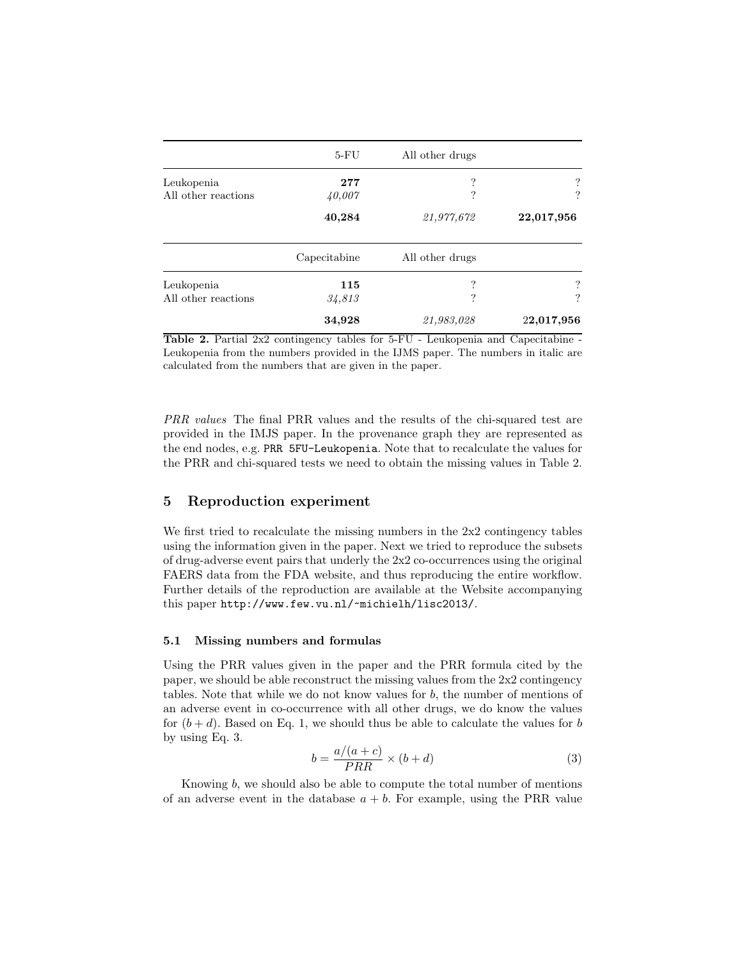|                     | $5-FU$       | All other drugs |                          |
|---------------------|--------------|-----------------|--------------------------|
| Leukopenia          | 277          | ?               | ?                        |
| All other reactions | 40,007       | ?               | ?                        |
|                     | 40,284       | 21,977,672      | 22,017,956               |
|                     | Capecitabine | All other drugs |                          |
| Leukopenia          | 115          | ?               | $\overline{\mathcal{L}}$ |
| All other reactions | 34,813       | ?               | ?                        |
|                     | 34,928       | 21,983,028      | 22,017,956               |

Table 2. Partial 2x2 contingency tables for 5-FU - Leukopenia and Capecitabine - Leukopenia from the numbers provided in the IJMS paper. The numbers in italic are calculated from the numbers that are given in the paper.

PRR values The final PRR values and the results of the chi-squared test are provided in the IMJS paper. In the provenance graph they are represented as the end nodes, e.g. PRR 5FU-Leukopenia. Note that to recalculate the values for the PRR and chi-squared tests we need to obtain the missing values in Table 2.

## 5 Reproduction experiment

We first tried to recalculate the missing numbers in the 2x2 contingency tables using the information given in the paper. Next we tried to reproduce the subsets of drug-adverse event pairs that underly the 2x2 co-occurrences using the original FAERS data from the FDA website, and thus reproducing the entire workflow. Further details of the reproduction are available at the Website accompanying this paper http://www.few.vu.nl/~michielh/lisc2013/.

#### 5.1 Missing numbers and formulas

Using the PRR values given in the paper and the PRR formula cited by the paper, we should be able reconstruct the missing values from the 2x2 contingency tables. Note that while we do not know values for  $b$ , the number of mentions of an adverse event in co-occurrence with all other drugs, we do know the values for  $(b+d)$ . Based on Eq. 1, we should thus be able to calculate the values for b by using Eq. 3.

$$
b = \frac{a/(a+c)}{PRR} \times (b+d)
$$
 (3)

Knowing b, we should also be able to compute the total number of mentions of an adverse event in the database  $a + b$ . For example, using the PRR value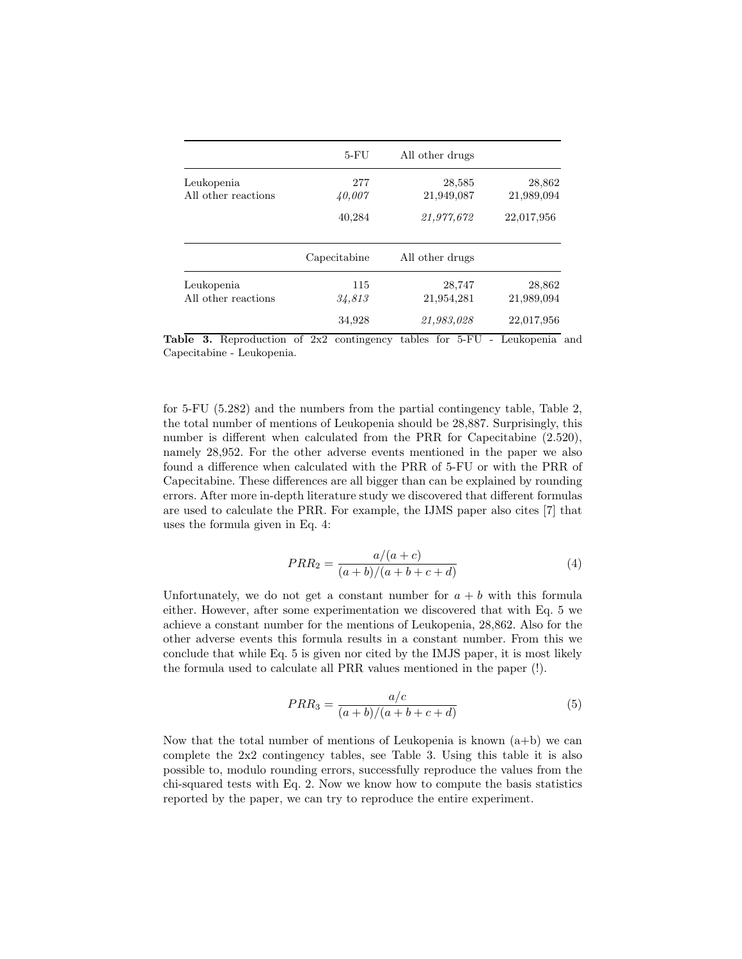|                     | $5-FU$       | All other drugs |            |
|---------------------|--------------|-----------------|------------|
| Leukopenia          | 277          | 28,585          | 28,862     |
| All other reactions | 40,007       | 21,949,087      | 21,989,094 |
|                     | 40,284       | 21,977,672      | 22,017,956 |
|                     | Capecitabine | All other drugs |            |
| Leukopenia          | 115          | 28,747          | 28,862     |
| All other reactions | 34,813       | 21,954,281      | 21,989,094 |
|                     | 34,928       | 21,983,028      | 22,017,956 |

Table 3. Reproduction of 2x2 contingency tables for 5-FU - Leukopenia and Capecitabine - Leukopenia.

for 5-FU (5.282) and the numbers from the partial contingency table, Table 2, the total number of mentions of Leukopenia should be 28,887. Surprisingly, this number is different when calculated from the PRR for Capecitabine (2.520), namely 28,952. For the other adverse events mentioned in the paper we also found a difference when calculated with the PRR of 5-FU or with the PRR of Capecitabine. These differences are all bigger than can be explained by rounding errors. After more in-depth literature study we discovered that different formulas are used to calculate the PRR. For example, the IJMS paper also cites [7] that uses the formula given in Eq. 4:

$$
PRR_2 = \frac{a/(a+c)}{(a+b)/(a+b+c+d)}
$$
(4)

Unfortunately, we do not get a constant number for  $a + b$  with this formula either. However, after some experimentation we discovered that with Eq. 5 we achieve a constant number for the mentions of Leukopenia, 28,862. Also for the other adverse events this formula results in a constant number. From this we conclude that while Eq. 5 is given nor cited by the IMJS paper, it is most likely the formula used to calculate all PRR values mentioned in the paper (!).

$$
PRR_3 = \frac{a/c}{(a+b)/(a+b+c+d)}
$$
\n<sup>(5)</sup>

Now that the total number of mentions of Leukopenia is known  $(a+b)$  we can complete the 2x2 contingency tables, see Table 3. Using this table it is also possible to, modulo rounding errors, successfully reproduce the values from the chi-squared tests with Eq. 2. Now we know how to compute the basis statistics reported by the paper, we can try to reproduce the entire experiment.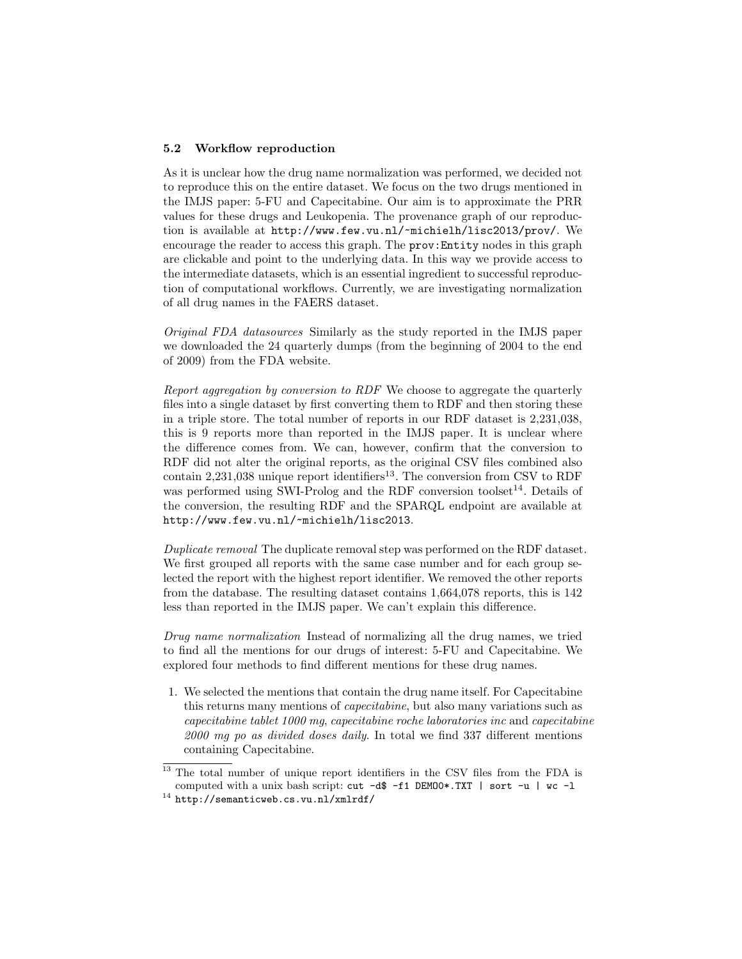#### 5.2 Workflow reproduction

As it is unclear how the drug name normalization was performed, we decided not to reproduce this on the entire dataset. We focus on the two drugs mentioned in the IMJS paper: 5-FU and Capecitabine. Our aim is to approximate the PRR values for these drugs and Leukopenia. The provenance graph of our reproduction is available at http://www.few.vu.nl/~michielh/lisc2013/prov/. We encourage the reader to access this graph. The prov: Entity nodes in this graph are clickable and point to the underlying data. In this way we provide access to the intermediate datasets, which is an essential ingredient to successful reproduction of computational workflows. Currently, we are investigating normalization of all drug names in the FAERS dataset.

Original FDA datasources Similarly as the study reported in the IMJS paper we downloaded the 24 quarterly dumps (from the beginning of 2004 to the end of 2009) from the FDA website.

Report aggregation by conversion to RDF We choose to aggregate the quarterly files into a single dataset by first converting them to RDF and then storing these in a triple store. The total number of reports in our RDF dataset is 2,231,038, this is 9 reports more than reported in the IMJS paper. It is unclear where the difference comes from. We can, however, confirm that the conversion to RDF did not alter the original reports, as the original CSV files combined also contain 2,231,038 unique report identifiers<sup>13</sup>. The conversion from CSV to RDF was performed using SWI-Prolog and the RDF conversion toolset<sup>14</sup>. Details of the conversion, the resulting RDF and the SPARQL endpoint are available at http://www.few.vu.nl/~michielh/lisc2013.

Duplicate removal The duplicate removal step was performed on the RDF dataset. We first grouped all reports with the same case number and for each group selected the report with the highest report identifier. We removed the other reports from the database. The resulting dataset contains 1,664,078 reports, this is 142 less than reported in the IMJS paper. We can't explain this difference.

Drug name normalization Instead of normalizing all the drug names, we tried to find all the mentions for our drugs of interest: 5-FU and Capecitabine. We explored four methods to find different mentions for these drug names.

1. We selected the mentions that contain the drug name itself. For Capecitabine this returns many mentions of capecitabine, but also many variations such as capecitabine tablet 1000 mg, capecitabine roche laboratories inc and capecitabine 2000 mg po as divided doses daily. In total we find 337 different mentions containing Capecitabine.

<sup>13</sup> The total number of unique report identifiers in the CSV files from the FDA is computed with a unix bash script: cut -d\$ -f1 DEMO0\*.TXT | sort -u | wc -l

<sup>14</sup> http://semanticweb.cs.vu.nl/xmlrdf/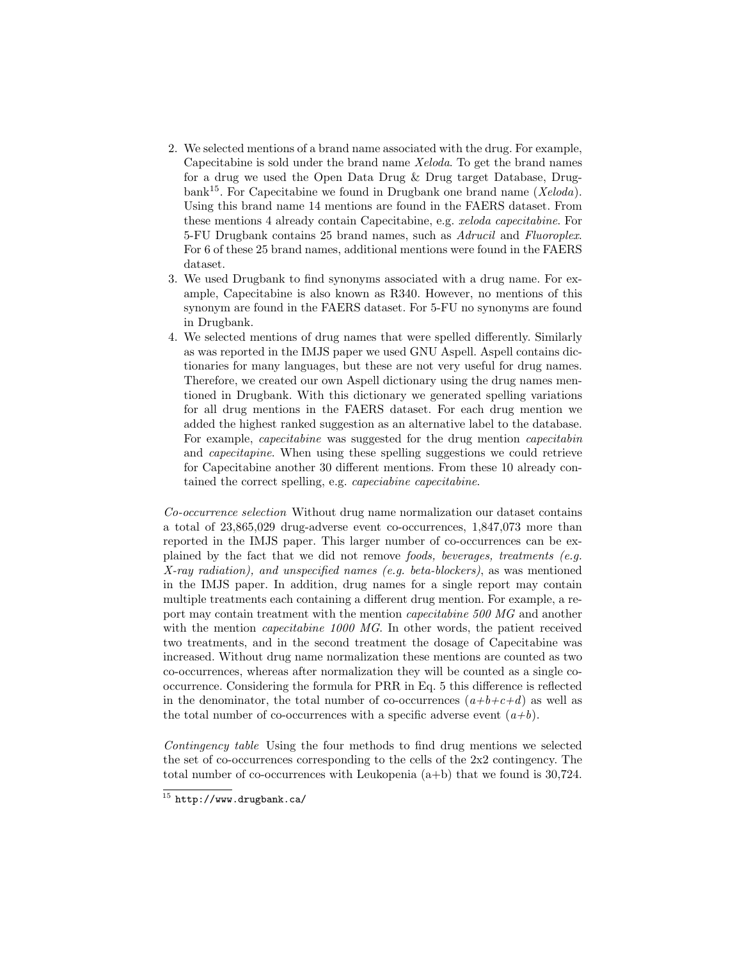- 2. We selected mentions of a brand name associated with the drug. For example, Capecitabine is sold under the brand name Xeloda. To get the brand names for a drug we used the Open Data Drug & Drug target Database, Drugbank<sup>15</sup>. For Capecitabine we found in Drugbank one brand name (*Xeloda*). Using this brand name 14 mentions are found in the FAERS dataset. From these mentions 4 already contain Capecitabine, e.g. xeloda capecitabine. For 5-FU Drugbank contains 25 brand names, such as Adrucil and Fluoroplex. For 6 of these 25 brand names, additional mentions were found in the FAERS dataset.
- 3. We used Drugbank to find synonyms associated with a drug name. For example, Capecitabine is also known as R340. However, no mentions of this synonym are found in the FAERS dataset. For 5-FU no synonyms are found in Drugbank.
- 4. We selected mentions of drug names that were spelled differently. Similarly as was reported in the IMJS paper we used GNU Aspell. Aspell contains dictionaries for many languages, but these are not very useful for drug names. Therefore, we created our own Aspell dictionary using the drug names mentioned in Drugbank. With this dictionary we generated spelling variations for all drug mentions in the FAERS dataset. For each drug mention we added the highest ranked suggestion as an alternative label to the database. For example, capecitabine was suggested for the drug mention capecitabin and capecitapine. When using these spelling suggestions we could retrieve for Capecitabine another 30 different mentions. From these 10 already contained the correct spelling, e.g. capeciabine capecitabine.

Co-occurrence selection Without drug name normalization our dataset contains a total of 23,865,029 drug-adverse event co-occurrences, 1,847,073 more than reported in the IMJS paper. This larger number of co-occurrences can be explained by the fact that we did not remove *foods, beverages, treatments (e.g.*) X-ray radiation), and unspecified names (e.g. beta-blockers), as was mentioned in the IMJS paper. In addition, drug names for a single report may contain multiple treatments each containing a different drug mention. For example, a report may contain treatment with the mention capecitabine 500 MG and another with the mention *capecitabine 1000 MG*. In other words, the patient received two treatments, and in the second treatment the dosage of Capecitabine was increased. Without drug name normalization these mentions are counted as two co-occurrences, whereas after normalization they will be counted as a single cooccurrence. Considering the formula for PRR in Eq. 5 this difference is reflected in the denominator, the total number of co-occurrences  $(a+b+c+d)$  as well as the total number of co-occurrences with a specific adverse event  $(a+b)$ .

Contingency table Using the four methods to find drug mentions we selected the set of co-occurrences corresponding to the cells of the 2x2 contingency. The total number of co-occurrences with Leukopenia  $(a+b)$  that we found is 30,724.

 $\frac{15}{15}$  http://www.drugbank.ca/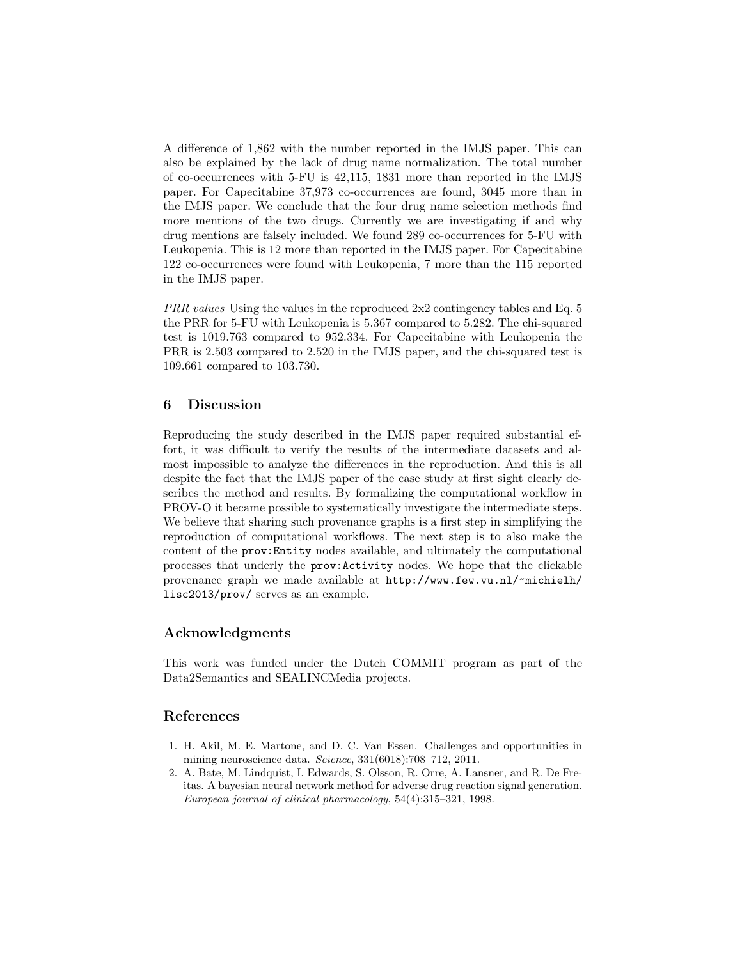A difference of 1,862 with the number reported in the IMJS paper. This can also be explained by the lack of drug name normalization. The total number of co-occurrences with 5-FU is 42,115, 1831 more than reported in the IMJS paper. For Capecitabine 37,973 co-occurrences are found, 3045 more than in the IMJS paper. We conclude that the four drug name selection methods find more mentions of the two drugs. Currently we are investigating if and why drug mentions are falsely included. We found 289 co-occurrences for 5-FU with Leukopenia. This is 12 more than reported in the IMJS paper. For Capecitabine 122 co-occurrences were found with Leukopenia, 7 more than the 115 reported in the IMJS paper.

PRR values Using the values in the reproduced 2x2 contingency tables and Eq. 5 the PRR for 5-FU with Leukopenia is 5.367 compared to 5.282. The chi-squared test is 1019.763 compared to 952.334. For Capecitabine with Leukopenia the PRR is 2.503 compared to 2.520 in the IMJS paper, and the chi-squared test is 109.661 compared to 103.730.

## 6 Discussion

Reproducing the study described in the IMJS paper required substantial effort, it was difficult to verify the results of the intermediate datasets and almost impossible to analyze the differences in the reproduction. And this is all despite the fact that the IMJS paper of the case study at first sight clearly describes the method and results. By formalizing the computational workflow in PROV-O it became possible to systematically investigate the intermediate steps. We believe that sharing such provenance graphs is a first step in simplifying the reproduction of computational workflows. The next step is to also make the content of the prov:Entity nodes available, and ultimately the computational processes that underly the prov:Activity nodes. We hope that the clickable provenance graph we made available at http://www.few.vu.nl/~michielh/ lisc2013/prov/ serves as an example.

## Acknowledgments

This work was funded under the Dutch COMMIT program as part of the Data2Semantics and SEALINCMedia projects.

## References

- 1. H. Akil, M. E. Martone, and D. C. Van Essen. Challenges and opportunities in mining neuroscience data. Science, 331(6018):708–712, 2011.
- 2. A. Bate, M. Lindquist, I. Edwards, S. Olsson, R. Orre, A. Lansner, and R. De Freitas. A bayesian neural network method for adverse drug reaction signal generation. European journal of clinical pharmacology, 54(4):315–321, 1998.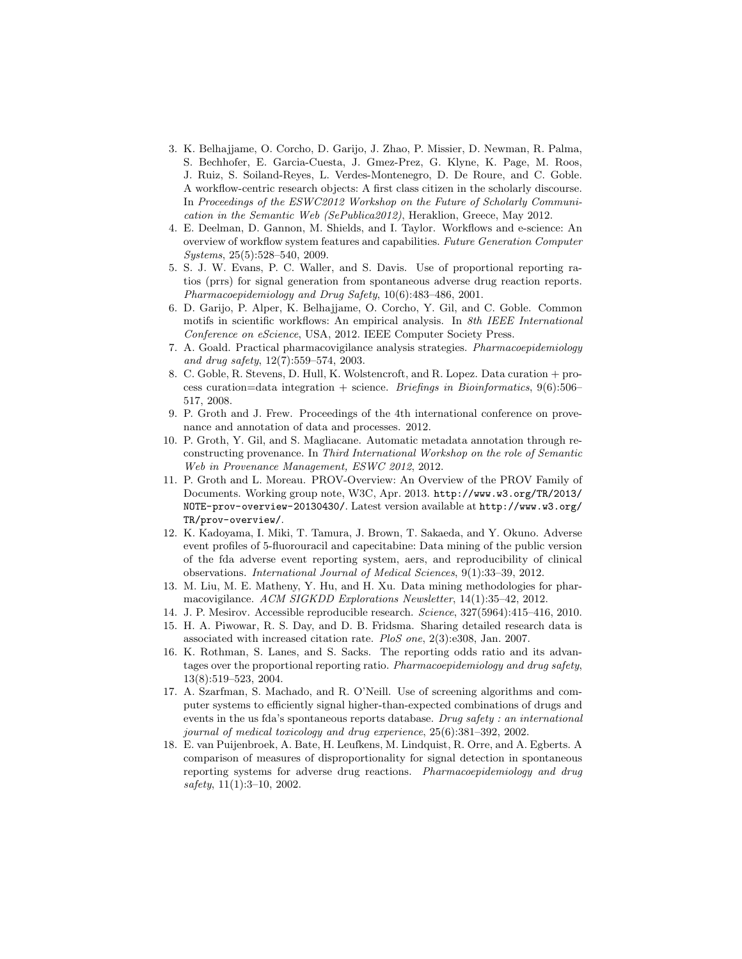- 3. K. Belhajjame, O. Corcho, D. Garijo, J. Zhao, P. Missier, D. Newman, R. Palma, S. Bechhofer, E. Garcia-Cuesta, J. Gmez-Prez, G. Klyne, K. Page, M. Roos, J. Ruiz, S. Soiland-Reyes, L. Verdes-Montenegro, D. De Roure, and C. Goble. A workflow-centric research objects: A first class citizen in the scholarly discourse. In Proceedings of the ESWC2012 Workshop on the Future of Scholarly Communication in the Semantic Web (SePublica2012), Heraklion, Greece, May 2012.
- 4. E. Deelman, D. Gannon, M. Shields, and I. Taylor. Workflows and e-science: An overview of workflow system features and capabilities. Future Generation Computer Systems, 25(5):528–540, 2009.
- 5. S. J. W. Evans, P. C. Waller, and S. Davis. Use of proportional reporting ratios (prrs) for signal generation from spontaneous adverse drug reaction reports. Pharmacoepidemiology and Drug Safety, 10(6):483–486, 2001.
- 6. D. Garijo, P. Alper, K. Belhajjame, O. Corcho, Y. Gil, and C. Goble. Common motifs in scientific workflows: An empirical analysis. In 8th IEEE International Conference on eScience, USA, 2012. IEEE Computer Society Press.
- 7. A. Goald. Practical pharmacovigilance analysis strategies. Pharmacoepidemiology and drug safety, 12(7):559–574, 2003.
- 8. C. Goble, R. Stevens, D. Hull, K. Wolstencroft, and R. Lopez. Data curation + process curation=data integration + science. Briefings in Bioinformatics,  $9(6):506-$ 517, 2008.
- 9. P. Groth and J. Frew. Proceedings of the 4th international conference on provenance and annotation of data and processes. 2012.
- 10. P. Groth, Y. Gil, and S. Magliacane. Automatic metadata annotation through reconstructing provenance. In Third International Workshop on the role of Semantic Web in Provenance Management, ESWC 2012, 2012.
- 11. P. Groth and L. Moreau. PROV-Overview: An Overview of the PROV Family of Documents. Working group note, W3C, Apr. 2013. http://www.w3.org/TR/2013/ NOTE-prov-overview-20130430/. Latest version available at http://www.w3.org/ TR/prov-overview/.
- 12. K. Kadoyama, I. Miki, T. Tamura, J. Brown, T. Sakaeda, and Y. Okuno. Adverse event profiles of 5-fluorouracil and capecitabine: Data mining of the public version of the fda adverse event reporting system, aers, and reproducibility of clinical observations. International Journal of Medical Sciences, 9(1):33–39, 2012.
- 13. M. Liu, M. E. Matheny, Y. Hu, and H. Xu. Data mining methodologies for pharmacovigilance. ACM SIGKDD Explorations Newsletter, 14(1):35–42, 2012.
- 14. J. P. Mesirov. Accessible reproducible research. Science, 327(5964):415–416, 2010.
- 15. H. A. Piwowar, R. S. Day, and D. B. Fridsma. Sharing detailed research data is associated with increased citation rate. PloS one, 2(3):e308, Jan. 2007.
- 16. K. Rothman, S. Lanes, and S. Sacks. The reporting odds ratio and its advantages over the proportional reporting ratio. Pharmacoepidemiology and drug safety, 13(8):519–523, 2004.
- 17. A. Szarfman, S. Machado, and R. O'Neill. Use of screening algorithms and computer systems to efficiently signal higher-than-expected combinations of drugs and events in the us fda's spontaneous reports database. Drug safety : an international journal of medical toxicology and drug experience, 25(6):381–392, 2002.
- 18. E. van Puijenbroek, A. Bate, H. Leufkens, M. Lindquist, R. Orre, and A. Egberts. A comparison of measures of disproportionality for signal detection in spontaneous reporting systems for adverse drug reactions. Pharmacoepidemiology and drug safety, 11(1):3–10, 2002.